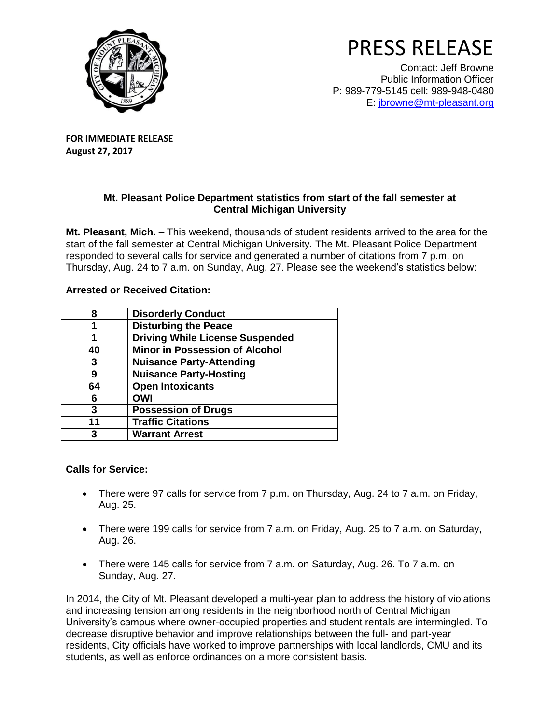

## PRESS RELEASE

Contact: Jeff Browne Public Information Officer P: 989-779-5145 cell: 989-948-0480 E: [jbrowne@mt-pleasant.org](mailto:jbrowne@mt-pleasant.org)

**FOR IMMEDIATE RELEASE August 27, 2017**

## **Mt. Pleasant Police Department statistics from start of the fall semester at Central Michigan University**

**Mt. Pleasant, Mich. –** This weekend, thousands of student residents arrived to the area for the start of the fall semester at Central Michigan University. The Mt. Pleasant Police Department responded to several calls for service and generated a number of citations from 7 p.m. on Thursday, Aug. 24 to 7 a.m. on Sunday, Aug. 27. Please see the weekend's statistics below:

## **Arrested or Received Citation:**

| 8  | <b>Disorderly Conduct</b>              |
|----|----------------------------------------|
|    | <b>Disturbing the Peace</b>            |
|    | <b>Driving While License Suspended</b> |
| 40 | <b>Minor in Possession of Alcohol</b>  |
| 3  | <b>Nuisance Party-Attending</b>        |
| 9  | <b>Nuisance Party-Hosting</b>          |
| 64 | <b>Open Intoxicants</b>                |
| 6  | <b>OWI</b>                             |
| 3  | <b>Possession of Drugs</b>             |
| 11 | <b>Traffic Citations</b>               |
| 3  | <b>Warrant Arrest</b>                  |

## **Calls for Service:**

- There were 97 calls for service from 7 p.m. on Thursday, Aug. 24 to 7 a.m. on Friday, Aug. 25.
- There were 199 calls for service from 7 a.m. on Friday, Aug. 25 to 7 a.m. on Saturday, Aug. 26.
- There were 145 calls for service from 7 a.m. on Saturday, Aug. 26. To 7 a.m. on Sunday, Aug. 27.

In 2014, the City of Mt. Pleasant developed a multi-year plan to address the history of violations and increasing tension among residents in the neighborhood north of Central Michigan University's campus where owner-occupied properties and student rentals are intermingled. To decrease disruptive behavior and improve relationships between the full- and part-year residents, City officials have worked to improve partnerships with local landlords, CMU and its students, as well as enforce ordinances on a more consistent basis.